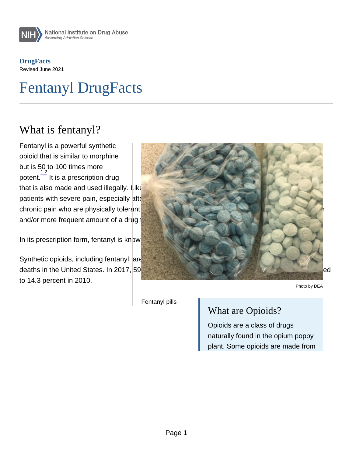**DrugFacts** Revised June 2021

# Fentanyl DrugFacts

#### What is fentanyl?

Fentanyl is a powerful synthetic opioid that is similar to morphine but is 50 to 100 times more potent. <sup>1,2</sup> It is a prescription drug

that is also made and used illegally. Like morphine, it is a medicine that is typically used to treat patients with severe pain, especially after surgery. It is also sometimes used to treat patients with chronic pain who are physically tolerant to other opioids.  $\frac{4}{3}$  Tolerance occurs when you need a higher and/or more frequent amount of a drug to get the desired effects.

In its prescription form, fentanyl is kn $\overline{\phantom{a}^{\bigoplus}}$  wn by such names as Actiq  $^\circ$  , Duragesic  $^\circ$  , and Sublimaze .

Synthetic opioids, including fentanyl, are now the most common drugs involved in drug overdose deaths in the United States. In 2017, 59. 8 percent of opioid-related deaths involved fentanyl compared to 14.3 percent in 2010. Photo by DEA

Fentanyl pills

#### What are Opioids?

Opioids are a class of drugs naturally found in the opium poppy plant. Some opioids are made from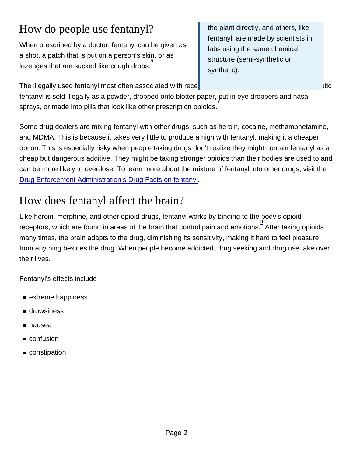# How do people use fentanyl?

When prescribed by a doctor, fentanyl can be given as a shot, a patch that is put on a person's skin, or as lozenges that are sucked like cough drops.

The illegally used fentanyl most often associated with rece

the plant directly, and others, like fentanyl, are made by scientists in labs using the same chemical structure (semi-synthetic or synthetic).

fentanyl is sold illegally as a powder, dropped onto blotter paper,  $\overline{\jmath}$ ut in eye droppers and nasal sprays, or made into pills that look like other prescription opioids.

Some drug dealers are mixing fentanyl with other drugs, such as heroin, cocaine, methamphetamine, and MDMA. This is because it takes very little to produce a high with fentanyl, making it a cheaper option. This is especially risky when people taking drugs don't realize they might contain fentanyl as a cheap but dangerous additive. They might be taking stronger opioids than their bodies are used to and can be more likely to overdose. To learn more about the mixture of fentanyl into other drugs, visit the [Drug Enforcement Administration's Drug Facts on fentanyl](https://www.dea.gov/factsheets/fentanyl).

# How does fentanyl affect the brain?

Like heroin, morphine, and other opioid drugs, fentanyl works by binding to the body's opioid receptors, which are found in areas of the brain that control pain and emotions.<sup>8</sup> After taking opioids many times, the brain adapts to the drug, diminishing its sensitivity, making it hard to feel pleasure from anything besides the drug. When people become addicted, drug seeking and drug use take over their lives.

Fentanyl's effects include

- extreme happiness
- **drowsiness**
- nausea
- confusion
- constipation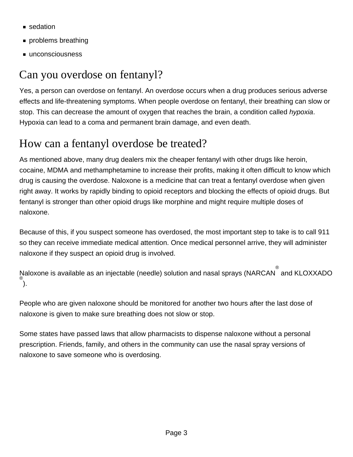- sedation
- **problems breathing**
- unconsciousness

# Can you overdose on fentanyl?

Yes, a person can overdose on fentanyl. An overdose occurs when a drug produces serious adverse effects and life-threatening symptoms. When people overdose on fentanyl, their breathing can slow or stop. This can decrease the amount of oxygen that reaches the brain, a condition called hypoxia. Hypoxia can lead to a coma and permanent brain damage, and even death.

# How can a fentanyl overdose be treated?

As mentioned above, many drug dealers mix the cheaper fentanyl with other drugs like heroin, cocaine, MDMA and methamphetamine to increase their profits, making it often difficult to know which drug is causing the overdose. Naloxone is a medicine that can treat a fentanyl overdose when given right away. It works by rapidly binding to opioid receptors and blocking the effects of opioid drugs. But fentanyl is stronger than other opioid drugs like morphine and might require multiple doses of naloxone.

Because of this, if you suspect someone has overdosed, the most important step to take is to call 911 so they can receive immediate medical attention. Once medical personnel arrive, they will administer naloxone if they suspect an opioid drug is involved.

Naloxone is available as an injectable (needle) solution and nasal sprays (NARCAN $\overset{ \circ }{ }$  and KLOXXADO ). ®

People who are given naloxone should be monitored for another two hours after the last dose of naloxone is given to make sure breathing does not slow or stop.

Some states have passed laws that allow pharmacists to dispense naloxone without a personal prescription. Friends, family, and others in the community can use the nasal spray versions of naloxone to save someone who is overdosing.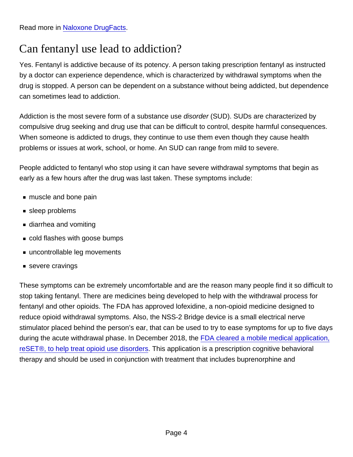# Can fentanyl use lead to addiction?

Yes. Fentanyl is addictive because of its potency. A person taking prescription fentanyl as instructed by a doctor can experience dependence, which is characterized by withdrawal symptoms when the drug is stopped. A person can be dependent on a substance without being addicted, but dependence can sometimes lead to addiction.

Addiction is the most severe form of a substance use disorder (SUD). SUDs are characterized by compulsive drug seeking and drug use that can be difficult to control, despite harmful consequences. When someone is addicted to drugs, they continue to use them even though they cause health problems or issues at work, school, or home. An SUD can range from mild to severe.

People addicted to fentanyl who stop using it can have severe withdrawal symptoms that begin as early as a few hours after the drug was last taken. These symptoms include:

- muscle and bone pain
- sleep problems
- diarrhea and vomiting
- cold flashes with goose bumps
- uncontrollable leg movements
- severe cravings

These symptoms can be extremely uncomfortable and are the reason many people find it so difficult to stop taking fentanyl. There are medicines being developed to help with the withdrawal process for fentanyl and other opioids. The FDA has approved lofexidine, a non-opioid medicine designed to reduce opioid withdrawal symptoms. Also, the NSS-2 Bridge device is a small electrical nerve stimulator placed behind the person's ear, that can be used to try to ease symptoms for up to five days during the acute withdrawal phase. In December 2018, the [FDA cleared a mobile medical application,](https://www.fda.gov/NewsEvents/Newsroom/PressAnnouncements/ucm628091.htm) [reSET®, to help treat opioid use disorders](https://www.fda.gov/NewsEvents/Newsroom/PressAnnouncements/ucm628091.htm). This application is a prescription cognitive behavioral therapy and should be used in conjunction with treatment that includes buprenorphine and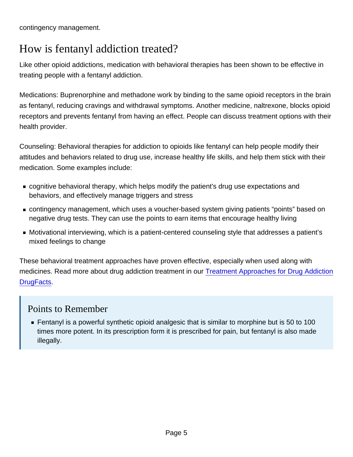contingency management.

### How is fentanyl addiction treated?

Like other opioid addictions, medication with behavioral therapies has been shown to be effective in treating people with a fentanyl addiction.

Medications: Buprenorphine and methadone work by binding to the same opioid receptors in the brain as fentanyl, reducing cravings and withdrawal symptoms. Another medicine, naltrexone, blocks opioid receptors and prevents fentanyl from having an effect. People can discuss treatment options with their health provider.

Counseling: Behavioral therapies for addiction to opioids like fentanyl can help people modify their attitudes and behaviors related to drug use, increase healthy life skills, and help them stick with their medication. Some examples include:

- cognitive behavioral therapy, which helps modify the patient's drug use expectations and behaviors, and effectively manage triggers and stress
- contingency management, which uses a voucher-based system giving patients "points" based on negative drug tests. They can use the points to earn items that encourage healthy living
- Motivational interviewing, which is a patient-centered counseling style that addresses a patient's mixed feelings to change

These behavioral treatment approaches have proven effective, especially when used along with medicines. Read more about drug addiction treatment in our [Treatment Approaches for Drug Addiction](http://nida.nih.gov/publications/drugfacts/treatment-approaches-drug-addiction) [DrugFacts](http://nida.nih.gov/publications/drugfacts/treatment-approaches-drug-addiction).

#### Points to Remember

**Fentanyl is a powerful synthetic opioid analgesic that is similar to morphine but is 50 to 100** times more potent. In its prescription form it is prescribed for pain, but fentanyl is also made illegally.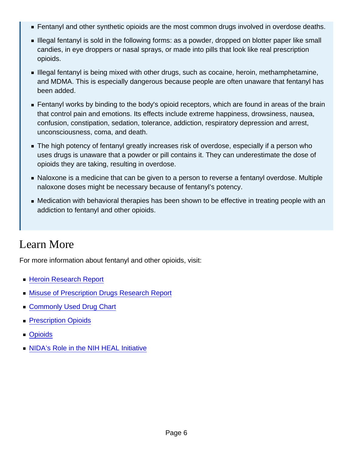- **Fentanyl and other synthetic opioids are the most common drugs involved in overdose deaths.**
- **Illegal fentanyl is sold in the following forms: as a powder, dropped on blotter paper like small** candies, in eye droppers or nasal sprays, or made into pills that look like real prescription opioids.
- **Illegal fentanyl is being mixed with other drugs, such as cocaine, heroin, methamphetamine,** and MDMA. This is especially dangerous because people are often unaware that fentanyl has been added.
- **Fentanyl works by binding to the body's opioid receptors, which are found in areas of the brain** that control pain and emotions. Its effects include extreme happiness, drowsiness, nausea, confusion, constipation, sedation, tolerance, addiction, respiratory depression and arrest, unconsciousness, coma, and death.
- The high potency of fentanyl greatly increases risk of overdose, especially if a person who uses drugs is unaware that a powder or pill contains it. They can underestimate the dose of opioids they are taking, resulting in overdose.
- Naloxone is a medicine that can be given to a person to reverse a fentanyl overdose. Multiple naloxone doses might be necessary because of fentanyl's potency.
- Medication with behavioral therapies has been shown to be effective in treating people with an addiction to fentanyl and other opioids.

#### Learn More

For more information about fentanyl and other opioids, visit:

- **[Heroin Research Report](http://nida.nih.gov/publications/research-reports/heroin/overview)**
- **[Misuse of Prescription Drugs Research Report](http://nida.nih.gov/publications/research-reports/misuse-prescription-drugs)**
- [Commonly Used Drug Chart](http://nida.nih.gov/drug-topics/commonly-used-drugs-charts)
- **[Prescription Opioids](http://nida.nih.gov/publications/drugfacts/prescription-opioids)**
- [Opioids](http://nida.nih.gov/drug-topics/opioids)
- **[NIDA's Role in the NIH HEAL Initiative](http://nida.nih.gov/drug-topics/opioids/nidas-role-in-nih-heal-initiative)**